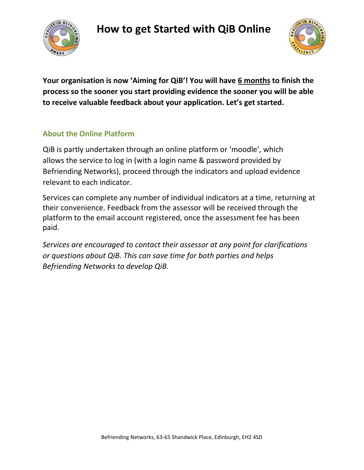



**Your organisation is now 'Aiming for QiB'! You will have 6 months to finish the process so the sooner you start providing evidence the sooner you will be able to receive valuable feedback about your application. Let's get started.**

## **About the Online Platform**

QiB is partly undertaken through an online platform or 'moodle', which allows the service to log in (with a login name & password provided by Befriending Networks), proceed through the indicators and upload evidence relevant to each indicator.

Services can complete any number of individual indicators at a time, returning at their convenience. Feedback from the assessor will be received through the platform to the email account registered, once the assessment fee has been paid.

*Services are encouraged to contact their assessor at any point for clarifications or questions about QiB. This can save time for both parties and helps Befriending Networks to develop QiB.*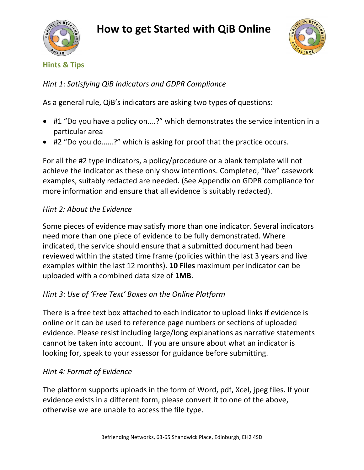



#### **Hints & Tips**

*Hint 1*: *Satisfying QiB Indicators and GDPR Compliance*

As a general rule, QiB's indicators are asking two types of questions:

- #1 "Do you have a policy on….?" which demonstrates the service intention in a particular area
- #2 "Do you do……?" which is asking for proof that the practice occurs.

For all the #2 type indicators, a policy/procedure or a blank template will not achieve the indicator as these only show intentions. Completed, "live" casework examples, suitably redacted are needed. (See Appendix on GDPR compliance for more information and ensure that all evidence is suitably redacted).

### *Hint 2: About the Evidence*

Some pieces of evidence may satisfy more than one indicator. Several indicators need more than one piece of evidence to be fully demonstrated. Where indicated, the service should ensure that a submitted document had been reviewed within the stated time frame (policies within the last 3 years and live examples within the last 12 months). **10 Files** maximum per indicator can be uploaded with a combined data size of **1MB**.

## *Hint 3*: *Use of 'Free Text' Boxes on the Online Platform*

There is a free text box attached to each indicator to upload links if evidence is online or it can be used to reference page numbers or sections of uploaded evidence. Please resist including large/long explanations as narrative statements cannot be taken into account. If you are unsure about what an indicator is looking for, speak to your assessor for guidance before submitting.

## *Hint 4: Format of Evidence*

The platform supports uploads in the form of Word, pdf, Xcel, jpeg files. If your evidence exists in a different form, please convert it to one of the above, otherwise we are unable to access the file type.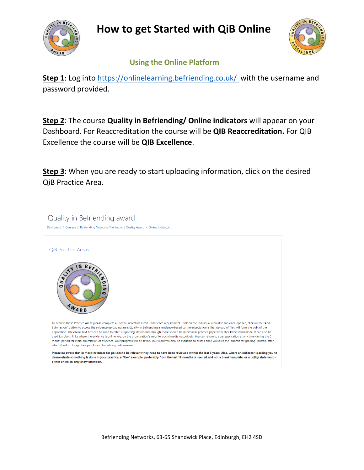



 **Using the Online Platform**

Step 1: Log into [https://onlinelearning.befriending.co.uk/](https://onlinelearning.befriending.co.uk/ ) with the username and password provided.

**Step 2**: The course **Quality in Befriending/ Online indicators** will appear on your Dashboard. For Reaccreditation the course will be **QIB Reaccreditation.** For QIB Excellence the course will be **QIB Excellence**.

**Step 3**: When you are ready to start uploading information, click on the desired QiB Practice Area.

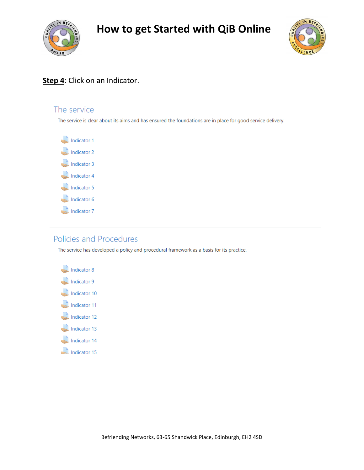



### **Step 4**: Click on an Indicator.

# The service The service is clear about its aims and has ensured the foundations are in place for good service delivery. Indicator 1 Indicator 2 Indicator 3 Indicator 4 Indicator 5 Indicator 6 Indicator 7

### Policies and Procedures

The service has developed a policy and procedural framework as a basis for its practice.

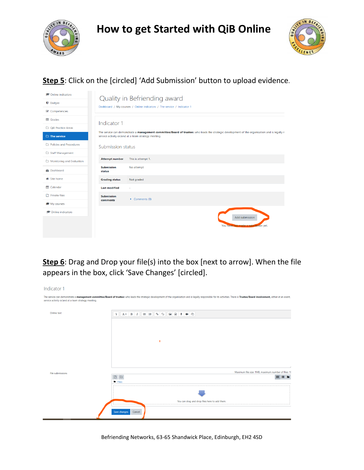



# **Step 5**: Click on the [circled] 'Add Submission' button to upload evidence.

| <b>←</b> Online indicators       | Quality in Befriending award                                                                                                                                                                          |                                     |  |
|----------------------------------|-------------------------------------------------------------------------------------------------------------------------------------------------------------------------------------------------------|-------------------------------------|--|
| <b>U</b> Badges                  | Dashboard / My courses / Online indicators / The service / Indicator 1                                                                                                                                |                                     |  |
| <b>■</b> Competencies            |                                                                                                                                                                                                       |                                     |  |
| <b>ED</b> Grades                 | Indicator 1                                                                                                                                                                                           |                                     |  |
| OiB Practice Areas               | The service can demonstrate a management committee/Board of trustees who leads the strategic development of the organisation and is legally re<br>service activity or/and at a team strategy meeting. |                                     |  |
| $\Box$ The service               |                                                                                                                                                                                                       |                                     |  |
| <b>Confidence</b> and Procedures | Submission status                                                                                                                                                                                     |                                     |  |
| □ Staff Management               |                                                                                                                                                                                                       |                                     |  |
| Monitoring and Evaluation        | <b>Attempt number</b>                                                                                                                                                                                 | This is attempt 1.                  |  |
| <b>®</b> Dashboard               | <b>Submission</b><br>status                                                                                                                                                                           | No attempt                          |  |
| <sup>«</sup> Site home           | <b>Grading status</b>                                                                                                                                                                                 | Not graded                          |  |
| <sup>兰</sup> Calendar            | <b>Last modified</b>                                                                                                                                                                                  | ٠                                   |  |
| Private files                    | <b>Submission</b><br>comments                                                                                                                                                                         | $\triangleright$ Comments (0)       |  |
| My courses                       |                                                                                                                                                                                                       |                                     |  |
| <b>Conline indicators</b>        |                                                                                                                                                                                                       |                                     |  |
|                                  |                                                                                                                                                                                                       | Add submission                      |  |
|                                  |                                                                                                                                                                                                       | You have not made a submission yet. |  |
|                                  |                                                                                                                                                                                                       |                                     |  |

**Step 6**: Drag and Drop your file(s) into the box [next to arrow]. When the file appears in the box, click 'Save Changes' [circled].

| Indicator 1                                         |                                                                                                                                                                                                                                                                              |                                                                                                                                                                                                                                |                                                     |
|-----------------------------------------------------|------------------------------------------------------------------------------------------------------------------------------------------------------------------------------------------------------------------------------------------------------------------------------|--------------------------------------------------------------------------------------------------------------------------------------------------------------------------------------------------------------------------------|-----------------------------------------------------|
| service activity or/and at a team strategy meeting. |                                                                                                                                                                                                                                                                              | The service can demonstrate a management committee/Board of trustees who leads the strategic development of the organisation and is legally responsible for its activities. There is Trustee/Board involvement, either at an e |                                                     |
| Online text                                         | $A \bullet \quad B \quad I \quad \equiv \quad \equiv \quad \  \  \, \otimes \quad \  \  \, \boxtimes \quad \  \  \, \boxtimes \quad \  \  \, \boxtimes \quad \  \  \, \otimes \quad \  \  \, \bullet \quad \  \  \, \circ \quad \  \  \, \bullet$<br>$\overline{\mathbf{u}}$ |                                                                                                                                                                                                                                |                                                     |
|                                                     |                                                                                                                                                                                                                                                                              |                                                                                                                                                                                                                                |                                                     |
|                                                     | ٠                                                                                                                                                                                                                                                                            |                                                                                                                                                                                                                                |                                                     |
|                                                     |                                                                                                                                                                                                                                                                              |                                                                                                                                                                                                                                |                                                     |
| File submissions                                    |                                                                                                                                                                                                                                                                              |                                                                                                                                                                                                                                | Maximum file size: 1MB, maximum number of files: 10 |
|                                                     | <b>E</b> Files                                                                                                                                                                                                                                                               |                                                                                                                                                                                                                                | $\mathbf{m} \equiv \mathbf{b}$                      |
|                                                     |                                                                                                                                                                                                                                                                              |                                                                                                                                                                                                                                |                                                     |
|                                                     |                                                                                                                                                                                                                                                                              | You can drag and drop files here to add them.                                                                                                                                                                                  |                                                     |
|                                                     | Save changes<br>Cancel                                                                                                                                                                                                                                                       |                                                                                                                                                                                                                                |                                                     |

Befriending Networks, 63-65 Shandwick Place, Edinburgh, EH2 4SD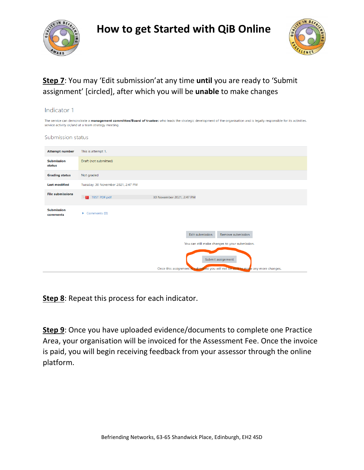



## **Step 7**: You may 'Edit submission'at any time **until** you are ready to 'Submit assignment' [circled], after which you will be **unable** to make changes

| Indicator 1                                                                                                                                                                                                                        |                                                                                                                                                                                                 |  |  |  |  |
|------------------------------------------------------------------------------------------------------------------------------------------------------------------------------------------------------------------------------------|-------------------------------------------------------------------------------------------------------------------------------------------------------------------------------------------------|--|--|--|--|
| The service can demonstrate a management committee/Board of trustees who leads the strategic development of the organisation and is legally responsible for its activities.<br>service activity or/and at a team strategy meeting. |                                                                                                                                                                                                 |  |  |  |  |
| Submission status                                                                                                                                                                                                                  |                                                                                                                                                                                                 |  |  |  |  |
| <b>Attempt number</b>                                                                                                                                                                                                              | This is attempt 1.                                                                                                                                                                              |  |  |  |  |
| <b>Submission</b><br>status                                                                                                                                                                                                        | Draft (not submitted)                                                                                                                                                                           |  |  |  |  |
| <b>Grading status</b>                                                                                                                                                                                                              | Not graded                                                                                                                                                                                      |  |  |  |  |
| <b>Last modified</b>                                                                                                                                                                                                               | Tuesday, 30 November 2021, 2:47 PM                                                                                                                                                              |  |  |  |  |
| <b>File submissions</b>                                                                                                                                                                                                            | <b>TEST PDF.pdf</b><br>30 November 2021, 2:47 PM<br>人                                                                                                                                           |  |  |  |  |
| <b>Submission</b><br>comments                                                                                                                                                                                                      | $\triangleright$ Comments (0)                                                                                                                                                                   |  |  |  |  |
|                                                                                                                                                                                                                                    | Edit submission<br>Remove submission<br>You can still make changes to your submission.<br>Submit assignment<br>Once this assignment is submitted you will not be able to make any more changes. |  |  |  |  |

**Step 8**: Repeat this process for each indicator.

**Step 9**: Once you have uploaded evidence/documents to complete one Practice Area, your organisation will be invoiced for the Assessment Fee. Once the invoice is paid, you will begin receiving feedback from your assessor through the online platform.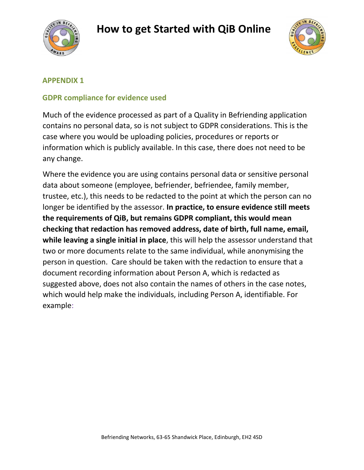



#### **APPENDIX 1**

### **GDPR compliance for evidence used**

Much of the evidence processed as part of a Quality in Befriending application contains no personal data, so is not subject to GDPR considerations. This is the case where you would be uploading policies, procedures or reports or information which is publicly available. In this case, there does not need to be any change.

Where the evidence you are using contains personal data or sensitive personal data about someone (employee, befriender, befriendee, family member, trustee, etc.), this needs to be redacted to the point at which the person can no longer be identified by the assessor. **In practice, to ensure evidence still meets the requirements of QiB, but remains GDPR compliant, this would mean checking that redaction has removed address, date of birth, full name, email, while leaving a single initial in place**, this will help the assessor understand that two or more documents relate to the same individual, while anonymising the person in question. Care should be taken with the redaction to ensure that a document recording information about Person A, which is redacted as suggested above, does not also contain the names of others in the case notes, which would help make the individuals, including Person A, identifiable. For example: